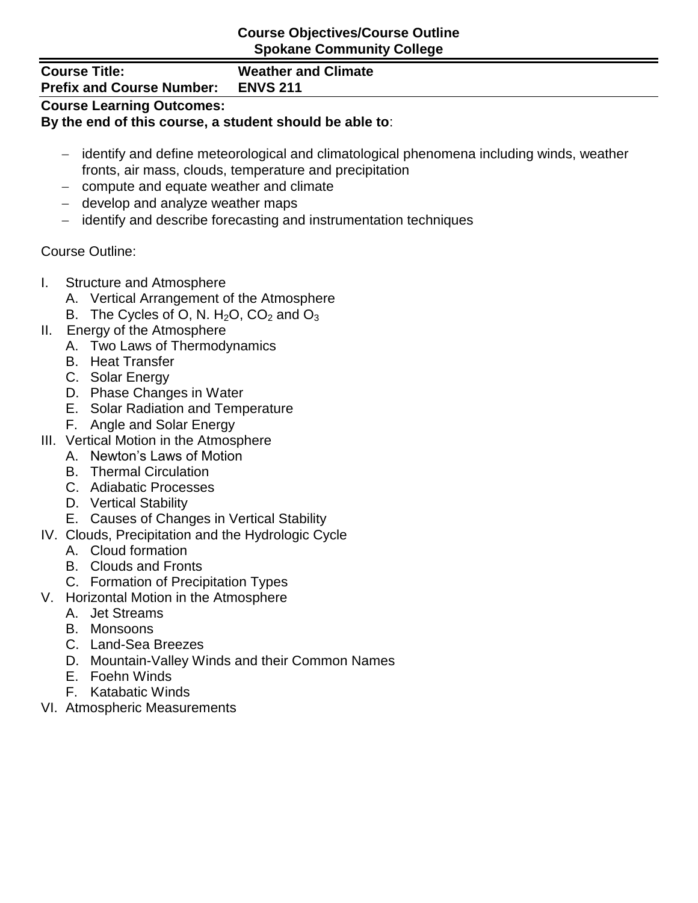#### **Course Objectives/Course Outline Spokane Community College**

**Course Title: Weather and Climate**

# **Prefix and Course Number: ENVS 211**

# **Course Learning Outcomes:**

#### **By the end of this course, a student should be able to**:

- identify and define meteorological and climatological phenomena including winds, weather fronts, air mass, clouds, temperature and precipitation
- compute and equate weather and climate
- $-$  develop and analyze weather maps
- identify and describe forecasting and instrumentation techniques

### Course Outline:

- I. Structure and Atmosphere
	- A. Vertical Arrangement of the Atmosphere
	- B. The Cycles of O, N.  $H_2O$ ,  $CO_2$  and  $O_3$
- II. Energy of the Atmosphere
	- A. Two Laws of Thermodynamics
	- B. Heat Transfer
	- C. Solar Energy
	- D. Phase Changes in Water
	- E. Solar Radiation and Temperature
	- F. Angle and Solar Energy
- III. Vertical Motion in the Atmosphere
	- A. Newton's Laws of Motion
	- B. Thermal Circulation
	- C. Adiabatic Processes
	- D. Vertical Stability
	- E. Causes of Changes in Vertical Stability
- IV. Clouds, Precipitation and the Hydrologic Cycle
	- A. Cloud formation
	- B. Clouds and Fronts
	- C. Formation of Precipitation Types
- V. Horizontal Motion in the Atmosphere
	- A. Jet Streams
	- B. Monsoons
	- C. Land-Sea Breezes
	- D. Mountain-Valley Winds and their Common Names
	- E. Foehn Winds
	- F. Katabatic Winds
- VI. Atmospheric Measurements